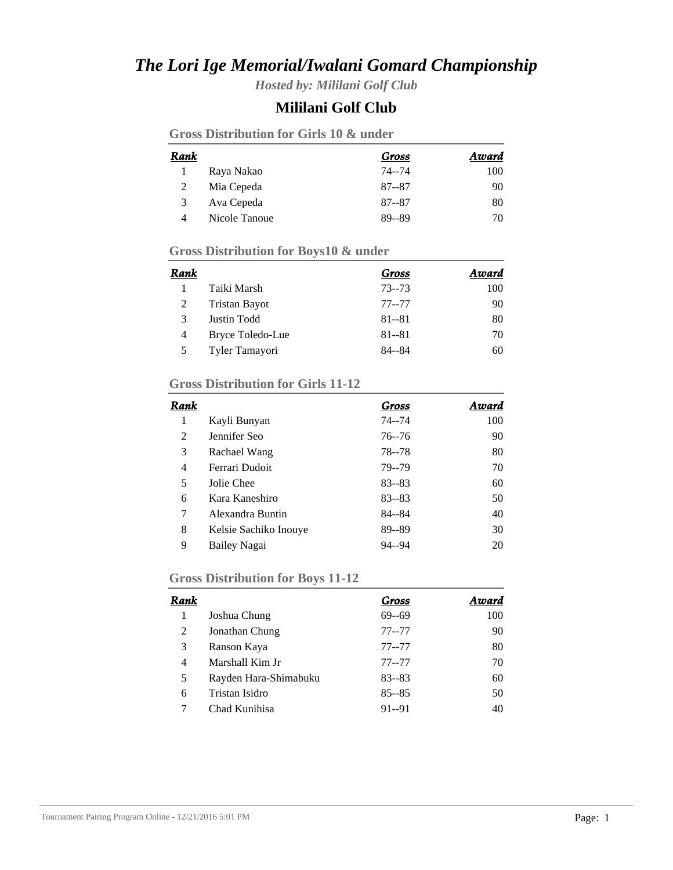# *The Lori Ige Memorial/Iwalani Gomard Championship*

*Hosted by: Mililani Golf Club*

## **Mililani Golf Club**

| Rank |               | Gross     | Award |
|------|---------------|-----------|-------|
|      | Raya Nakao    | 74--74    | 100   |
| 2    | Mia Cepeda    | $87 - 87$ | 90    |
| 3    | Ava Cepeda    | $87 - 87$ | 80    |
| 4    | Nicole Tanoue | 89--89    | 70    |

### **Gross Distribution for Boys10 & under**

| Rank |                      | Gross     | Award |
|------|----------------------|-----------|-------|
|      | Taiki Marsh          | $73 - 73$ | 100   |
|      | <b>Tristan Bayot</b> | $77 - 77$ | 90    |
| 3    | Justin Todd          | $81 - 81$ | 80    |
| 4    | Bryce Toledo-Lue     | $81 - 81$ | 70    |
|      | Tyler Tamayori       | 84--84    | 60    |

### **Gross Distribution for Girls 11-12**

| Rank |                       | Gross     | Award |
|------|-----------------------|-----------|-------|
| 1    | Kayli Bunyan          | $74 - 74$ | 100   |
| 2    | Jennifer Seo          | $76 - 76$ | 90    |
| 3    | Rachael Wang          | 78 - - 78 | 80    |
| 4    | Ferrari Dudoit        | 79--79    | 70    |
| 5    | Jolie Chee            | $83 - 83$ | 60    |
| 6    | Kara Kaneshiro        | $83 - 83$ | 50    |
| 7    | Alexandra Buntin      | 84--84    | 40    |
| 8    | Kelsie Sachiko Inouye | 89--89    | 30    |
| 9    | Bailey Nagai          | $94 - 94$ | 20    |

### **Gross Distribution for Boys 11-12**

| Rank |                       | Gross     | Award |
|------|-----------------------|-----------|-------|
|      | Joshua Chung          | $69 - 69$ | 100   |
| 2    | Jonathan Chung        | $77 - 77$ | 90    |
| 3    | Ranson Kaya           | $77 - 77$ | 80    |
| 4    | Marshall Kim Jr       | $77 - 77$ | 70    |
| 5    | Rayden Hara-Shimabuku | $83 - 83$ | 60    |
| 6    | Tristan Isidro        | $85 - 85$ | 50    |
|      | Chad Kunihisa         | $91 - 91$ | 40    |